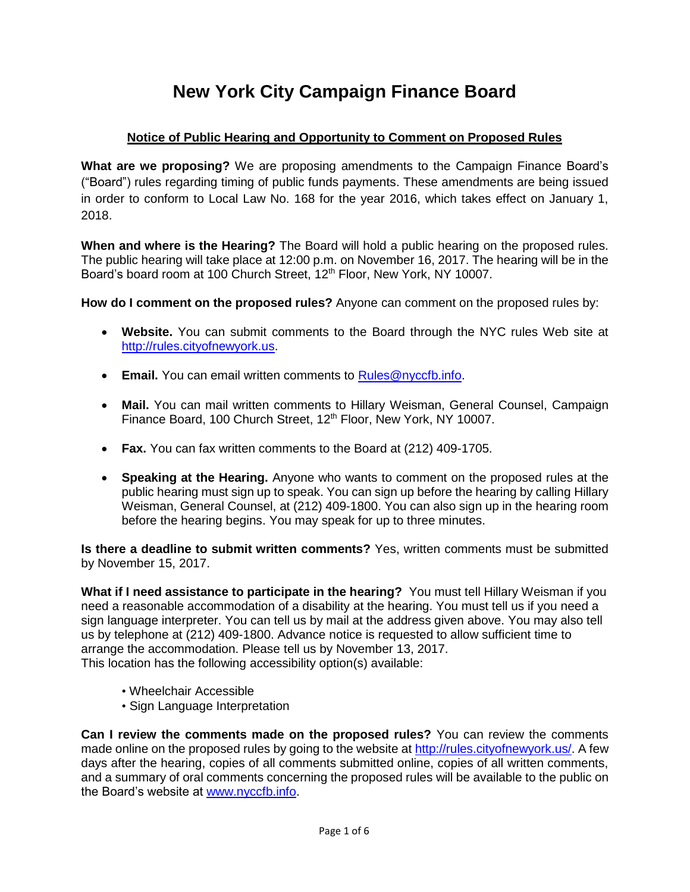# **New York City Campaign Finance Board**

# **Notice of Public Hearing and Opportunity to Comment on Proposed Rules**

**What are we proposing?** We are proposing amendments to the Campaign Finance Board's ("Board") rules regarding timing of public funds payments. These amendments are being issued in order to conform to Local Law No. 168 for the year 2016, which takes effect on January 1, 2018.

**When and where is the Hearing?** The Board will hold a public hearing on the proposed rules. The public hearing will take place at 12:00 p.m. on November 16, 2017. The hearing will be in the Board's board room at 100 Church Street, 12<sup>th</sup> Floor, New York, NY 10007.

**How do I comment on the proposed rules?** Anyone can comment on the proposed rules by:

- **Website.** You can submit comments to the Board through the NYC rules Web site at [http://rules.cityofnewyork.us.](http://rules.cityofnewyork.us/)
- **Email.** You can email written comments to [Rules@nyccfb.info.](mailto:Rules@nyccfb.info)
- **Mail.** You can mail written comments to Hillary Weisman, General Counsel, Campaign Finance Board, 100 Church Street, 12<sup>th</sup> Floor, New York, NY 10007.
- **Fax.** You can fax written comments to the Board at (212) 409-1705.
- **Speaking at the Hearing.** Anyone who wants to comment on the proposed rules at the public hearing must sign up to speak. You can sign up before the hearing by calling Hillary Weisman, General Counsel, at (212) 409-1800. You can also sign up in the hearing room before the hearing begins. You may speak for up to three minutes.

**Is there a deadline to submit written comments?** Yes, written comments must be submitted by November 15, 2017.

**What if I need assistance to participate in the hearing?** You must tell Hillary Weisman if you need a reasonable accommodation of a disability at the hearing. You must tell us if you need a sign language interpreter. You can tell us by mail at the address given above. You may also tell us by telephone at (212) 409-1800. Advance notice is requested to allow sufficient time to arrange the accommodation. Please tell us by November 13, 2017. This location has the following accessibility option(s) available:

- Wheelchair Accessible
- Sign Language Interpretation

**Can I review the comments made on the proposed rules?** You can review the comments made online on the proposed rules by going to the website at [http://rules.cityofnewyork.us/.](http://rules.cityofnewyork.us/) A few days after the hearing, copies of all comments submitted online, copies of all written comments, and a summary of oral comments concerning the proposed rules will be available to the public on the Board's website at [www.nyccfb.info.](http://www.nyccfb.info/)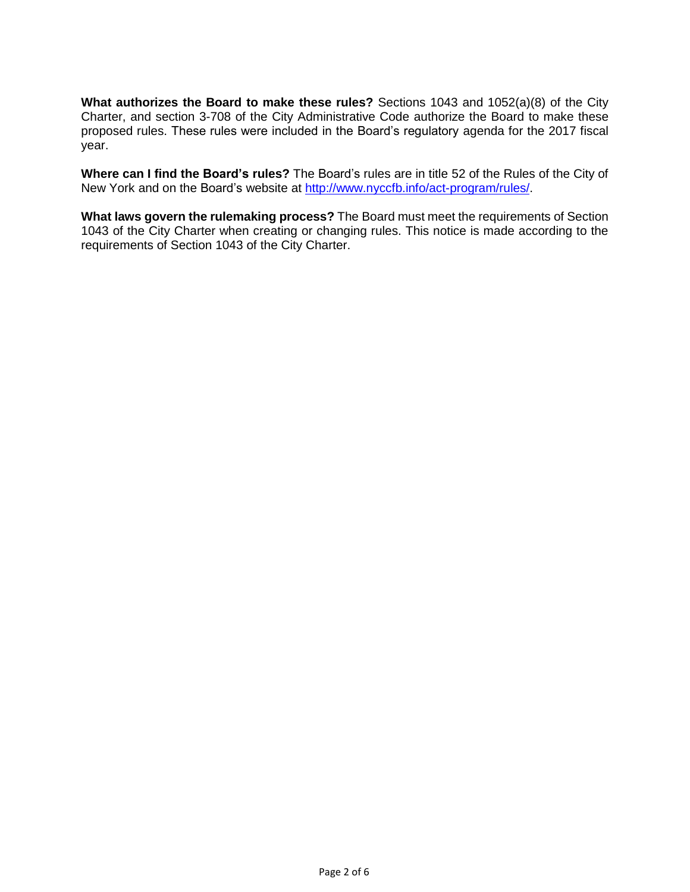**What authorizes the Board to make these rules?** Sections 1043 and 1052(a)(8) of the City Charter, and section 3-708 of the City Administrative Code authorize the Board to make these proposed rules. These rules were included in the Board's regulatory agenda for the 2017 fiscal year.

**Where can I find the Board's rules?** The Board's rules are in title 52 of the Rules of the City of New York and on the Board's website at [http://www.nyccfb.info/act-program/rules/.](http://www.nyccfb.info/act-program/rules/)

**What laws govern the rulemaking process?** The Board must meet the requirements of Section 1043 of the City Charter when creating or changing rules. This notice is made according to the requirements of Section 1043 of the City Charter.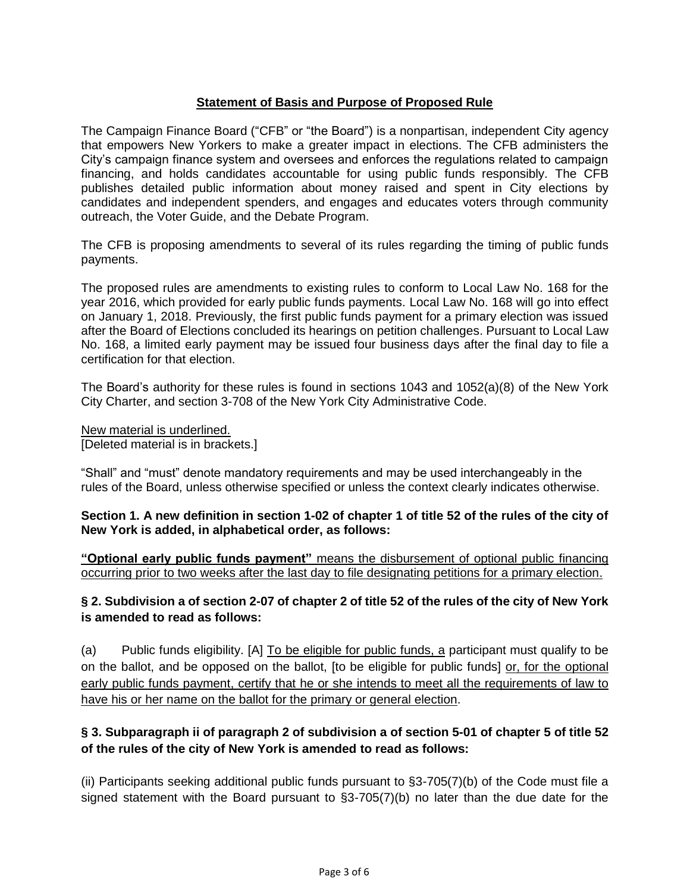#### **Statement of Basis and Purpose of Proposed Rule**

The Campaign Finance Board ("CFB" or "the Board") is a nonpartisan, independent City agency that empowers New Yorkers to make a greater impact in elections. The CFB administers the City's campaign finance system and oversees and enforces the regulations related to campaign financing, and holds candidates accountable for using public funds responsibly. The CFB publishes detailed public information about money raised and spent in City elections by candidates and independent spenders, and engages and educates voters through community outreach, the Voter Guide, and the Debate Program.

The CFB is proposing amendments to several of its rules regarding the timing of public funds payments.

The proposed rules are amendments to existing rules to conform to Local Law No. 168 for the year 2016, which provided for early public funds payments. Local Law No. 168 will go into effect on January 1, 2018. Previously, the first public funds payment for a primary election was issued after the Board of Elections concluded its hearings on petition challenges. Pursuant to Local Law No. 168, a limited early payment may be issued four business days after the final day to file a certification for that election.

The Board's authority for these rules is found in sections 1043 and 1052(a)(8) of the New York City Charter, and section 3-708 of the New York City Administrative Code.

New material is underlined. [Deleted material is in brackets.]

"Shall" and "must" denote mandatory requirements and may be used interchangeably in the rules of the Board, unless otherwise specified or unless the context clearly indicates otherwise.

**Section 1. A new definition in section 1-02 of chapter 1 of title 52 of the rules of the city of New York is added, in alphabetical order, as follows:**

**"Optional early public funds payment"** means the disbursement of optional public financing occurring prior to two weeks after the last day to file designating petitions for a primary election.

#### **§ 2. Subdivision a of section 2-07 of chapter 2 of title 52 of the rules of the city of New York is amended to read as follows:**

(a) Public funds eligibility. [A] To be eligible for public funds, a participant must qualify to be on the ballot, and be opposed on the ballot, [to be eligible for public funds] or, for the optional early public funds payment, certify that he or she intends to meet all the requirements of law to have his or her name on the ballot for the primary or general election.

# **§ 3. Subparagraph ii of paragraph 2 of subdivision a of section 5-01 of chapter 5 of title 52 of the rules of the city of New York is amended to read as follows:**

(ii) Participants seeking additional public funds pursuant to §3-705(7)(b) of the Code must file a signed statement with the Board pursuant to §3-705(7)(b) no later than the due date for the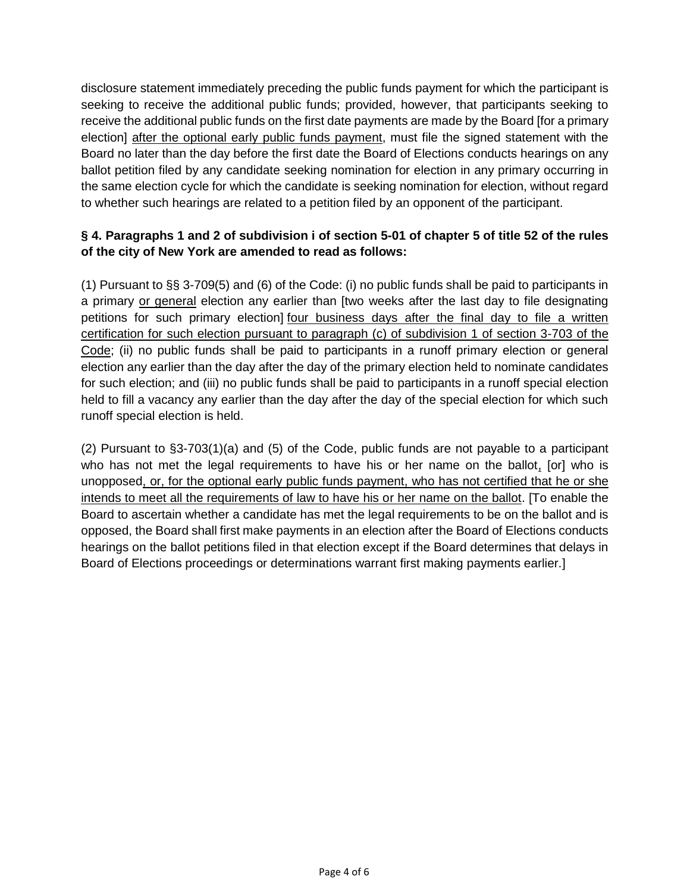disclosure statement immediately preceding the public funds payment for which the participant is seeking to receive the additional public funds; provided, however, that participants seeking to receive the additional public funds on the first date payments are made by the Board [for a primary election] after the optional early public funds payment, must file the signed statement with the Board no later than the day before the first date the Board of Elections conducts hearings on any ballot petition filed by any candidate seeking nomination for election in any primary occurring in the same election cycle for which the candidate is seeking nomination for election, without regard to whether such hearings are related to a petition filed by an opponent of the participant.

# **§ 4. Paragraphs 1 and 2 of subdivision i of section 5-01 of chapter 5 of title 52 of the rules of the city of New York are amended to read as follows:**

(1) Pursuant to §§ 3-709(5) and (6) of the Code: (i) no public funds shall be paid to participants in a primary or general election any earlier than [two weeks after the last day to file designating petitions for such primary election] four business days after the final day to file a written certification for such election pursuant to paragraph (c) of subdivision 1 of section 3-703 of the Code; (ii) no public funds shall be paid to participants in a runoff primary election or general election any earlier than the day after the day of the primary election held to nominate candidates for such election; and (iii) no public funds shall be paid to participants in a runoff special election held to fill a vacancy any earlier than the day after the day of the special election for which such runoff special election is held.

(2) Pursuant to §3-703(1)(a) and (5) of the Code, public funds are not payable to a participant who has not met the legal requirements to have his or her name on the ballot, [or] who is unopposed, or, for the optional early public funds payment, who has not certified that he or she intends to meet all the requirements of law to have his or her name on the ballot. [To enable the Board to ascertain whether a candidate has met the legal requirements to be on the ballot and is opposed, the Board shall first make payments in an election after the Board of Elections conducts hearings on the ballot petitions filed in that election except if the Board determines that delays in Board of Elections proceedings or determinations warrant first making payments earlier.]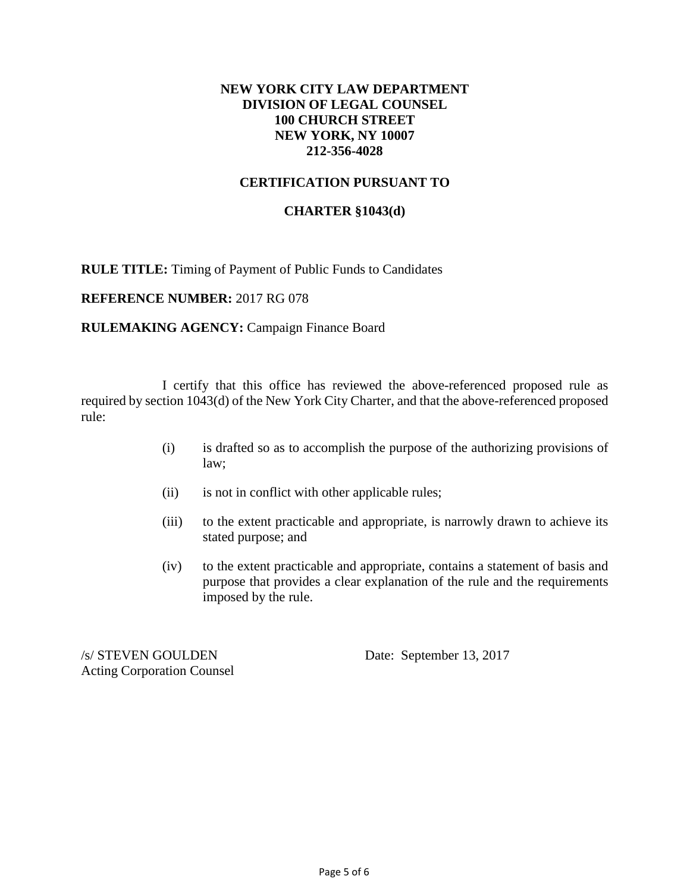### **NEW YORK CITY LAW DEPARTMENT DIVISION OF LEGAL COUNSEL 100 CHURCH STREET NEW YORK, NY 10007 212-356-4028**

### **CERTIFICATION PURSUANT TO**

#### **CHARTER §1043(d)**

**RULE TITLE:** Timing of Payment of Public Funds to Candidates

**REFERENCE NUMBER:** 2017 RG 078

#### **RULEMAKING AGENCY: Campaign Finance Board**

I certify that this office has reviewed the above-referenced proposed rule as required by section 1043(d) of the New York City Charter, and that the above-referenced proposed rule:

- (i) is drafted so as to accomplish the purpose of the authorizing provisions of law;
- (ii) is not in conflict with other applicable rules;
- (iii) to the extent practicable and appropriate, is narrowly drawn to achieve its stated purpose; and
- (iv) to the extent practicable and appropriate, contains a statement of basis and purpose that provides a clear explanation of the rule and the requirements imposed by the rule.

/s/ STEVEN GOULDEN Date: September 13, 2017 Acting Corporation Counsel